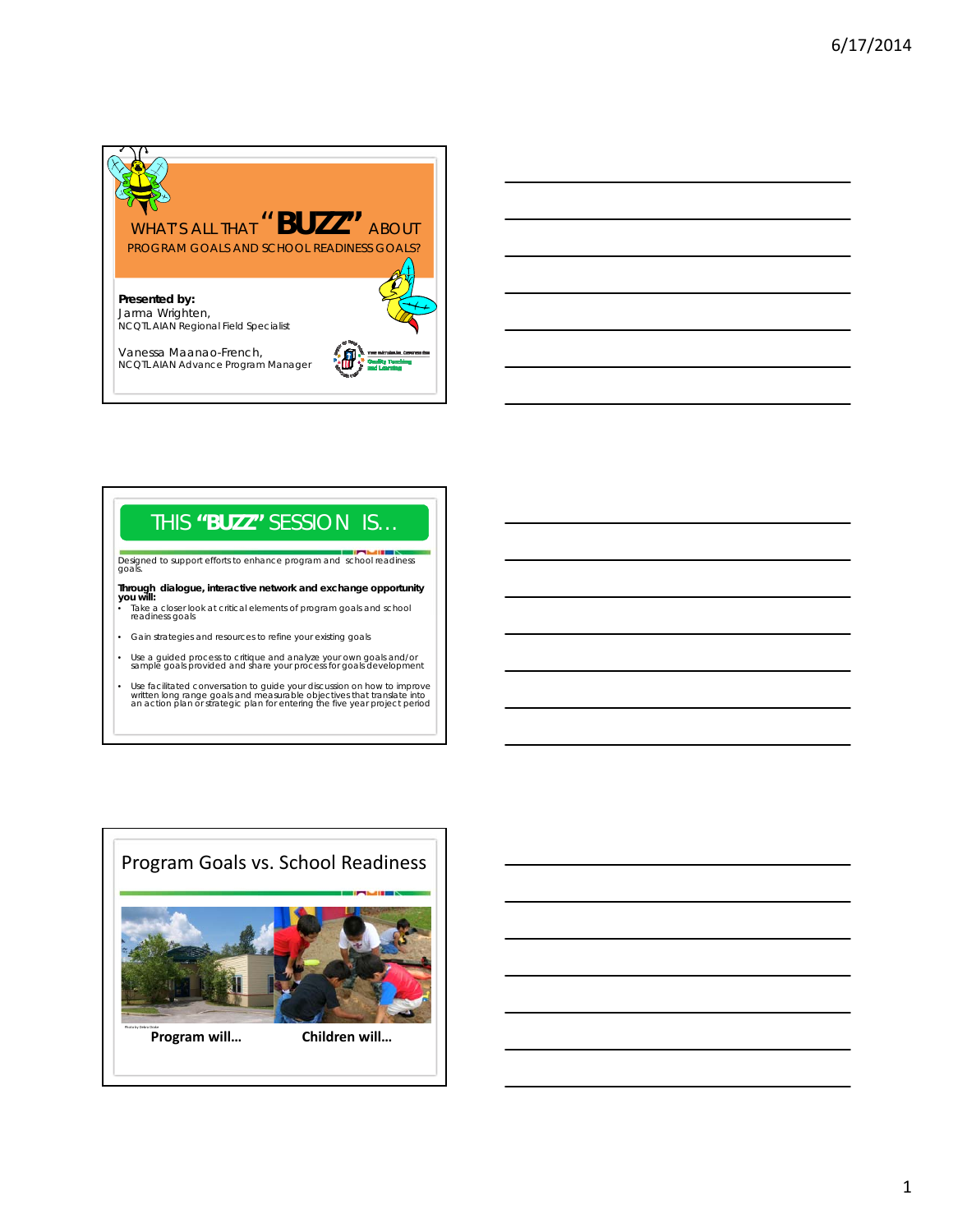

## THIS **"BUZZ"** SESSION IS…

Designed to support efforts to enhance program and school readiness goals.

**Through dialogue, interactive network and exchange opportunity<br><b>you will:**<br>• Take a closer look at critical elements of program goals and school<br>• readiness goals

- 
- Gain strategies and resources to refine your existing goals
- Use a guided process to critique and analyze your own goals and/or sample goals provided and share your process for goals development
- Use facilitated conversation to guide your discussion on how to improve written long range goals and measurable objectives that translate into an action plan or strategic plan for entering the five year project period

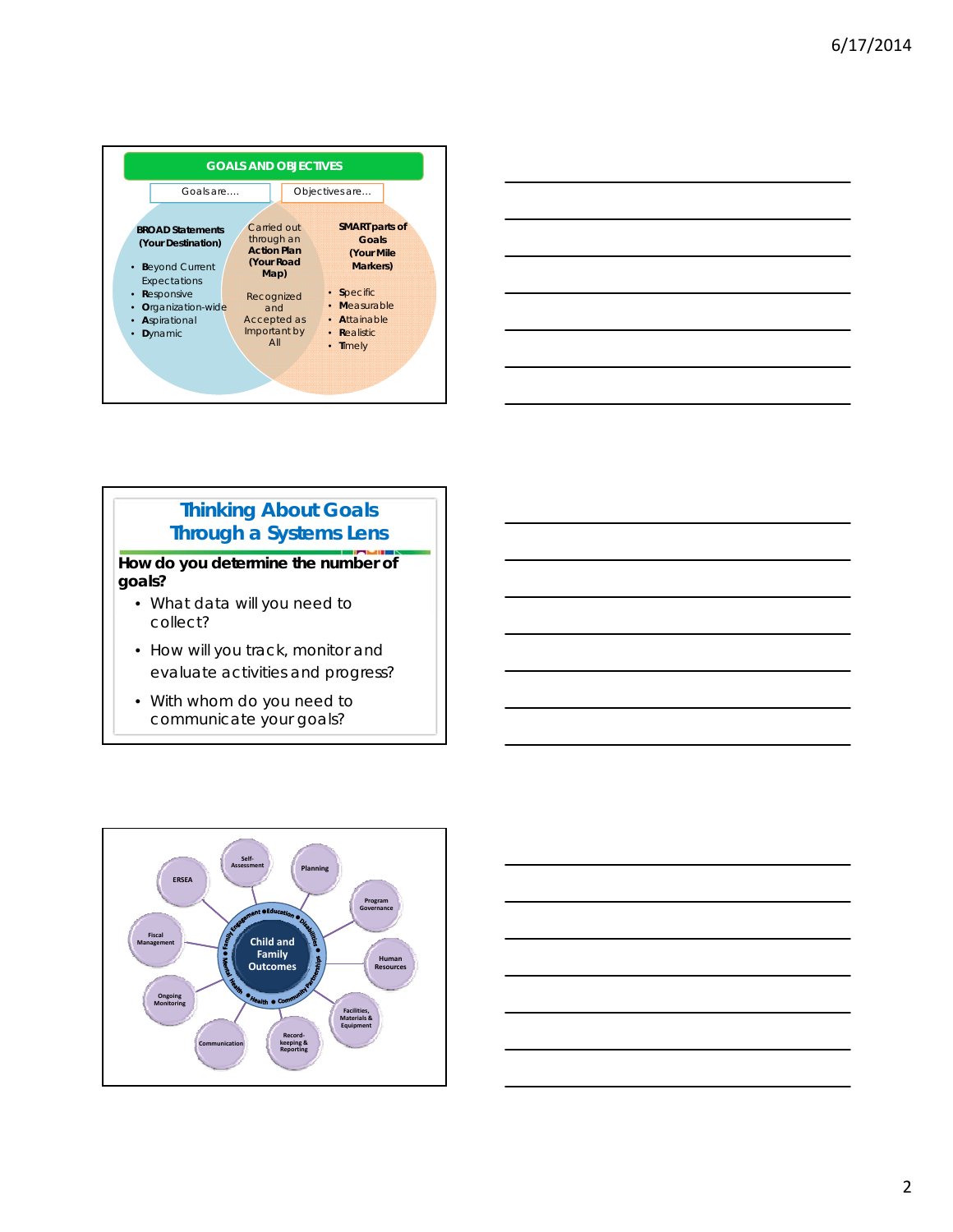



### **Thinking About Goals Through a Systems Lens**

**How do you determine the number of goals?**

- What data will you need to collect?
- How will you track, monitor and evaluate activities and progress?
- With whom do you need to communicate your goals?



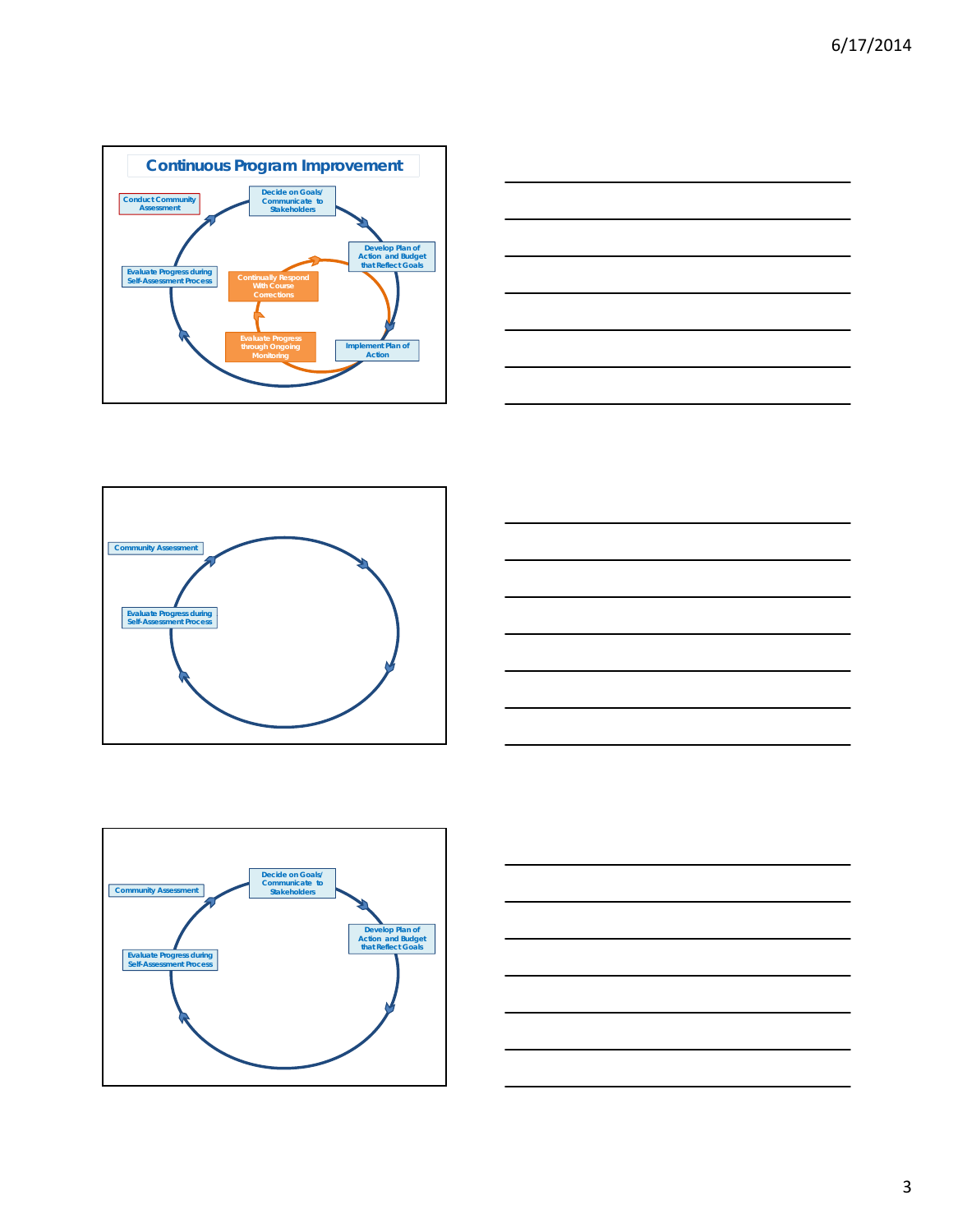









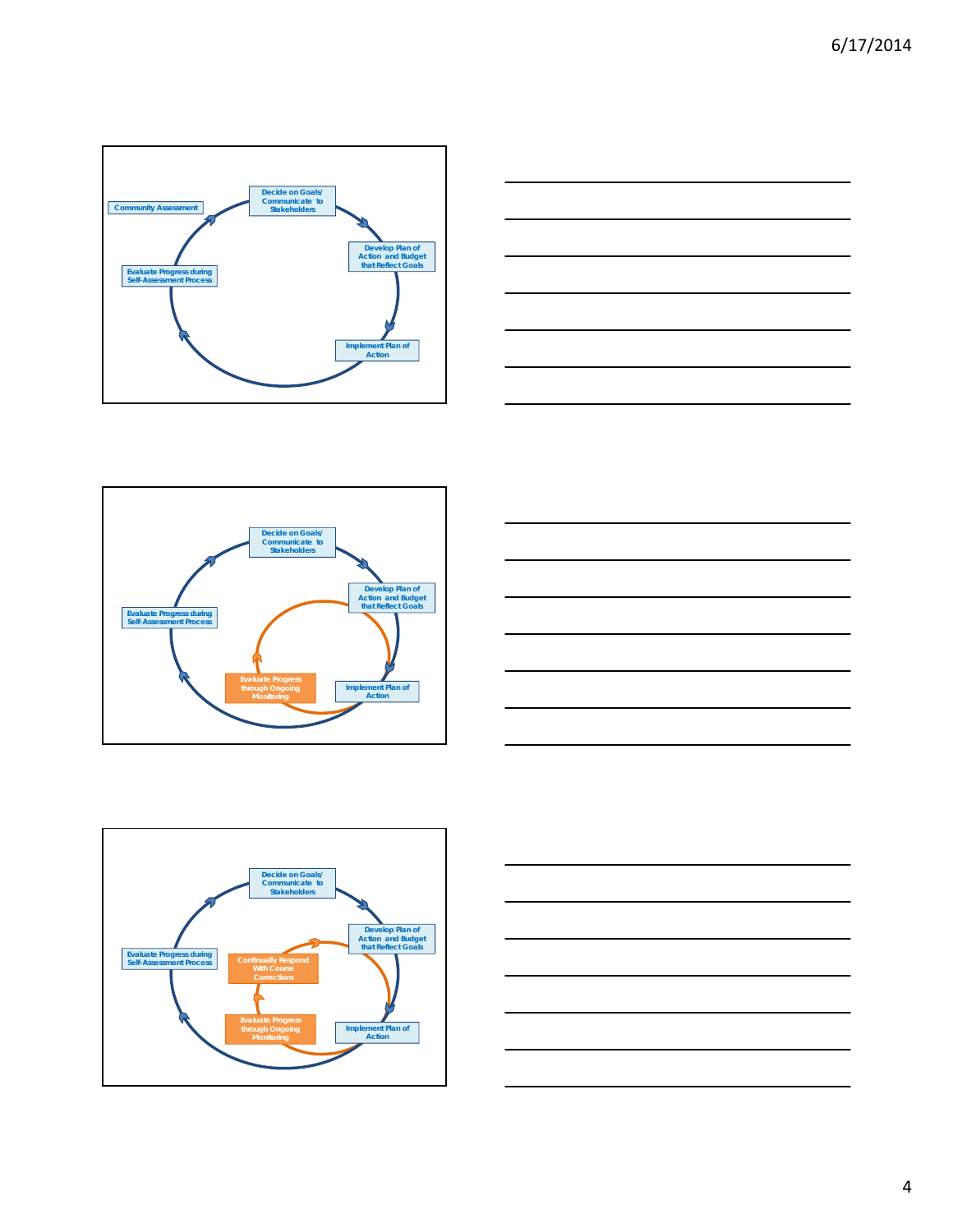









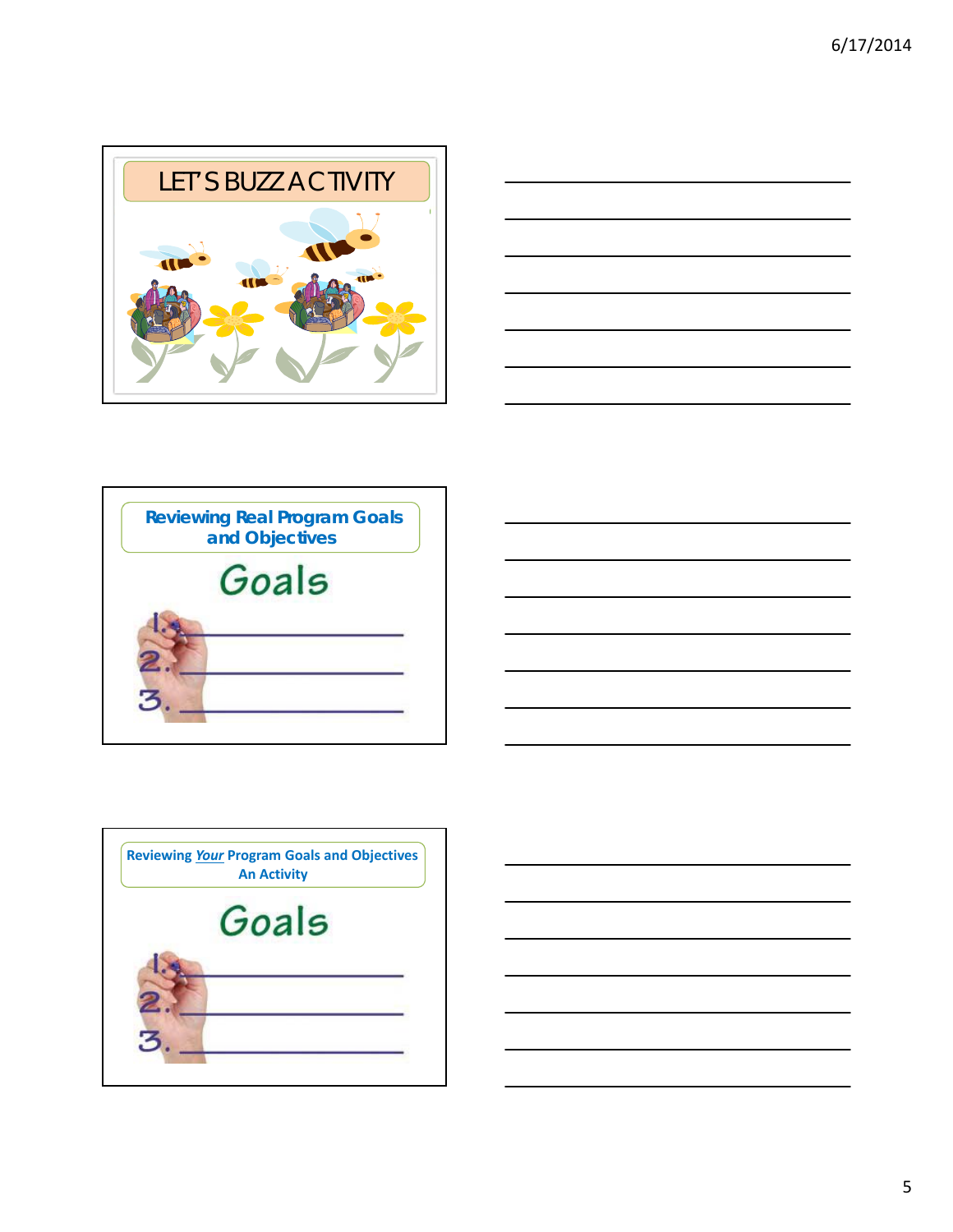







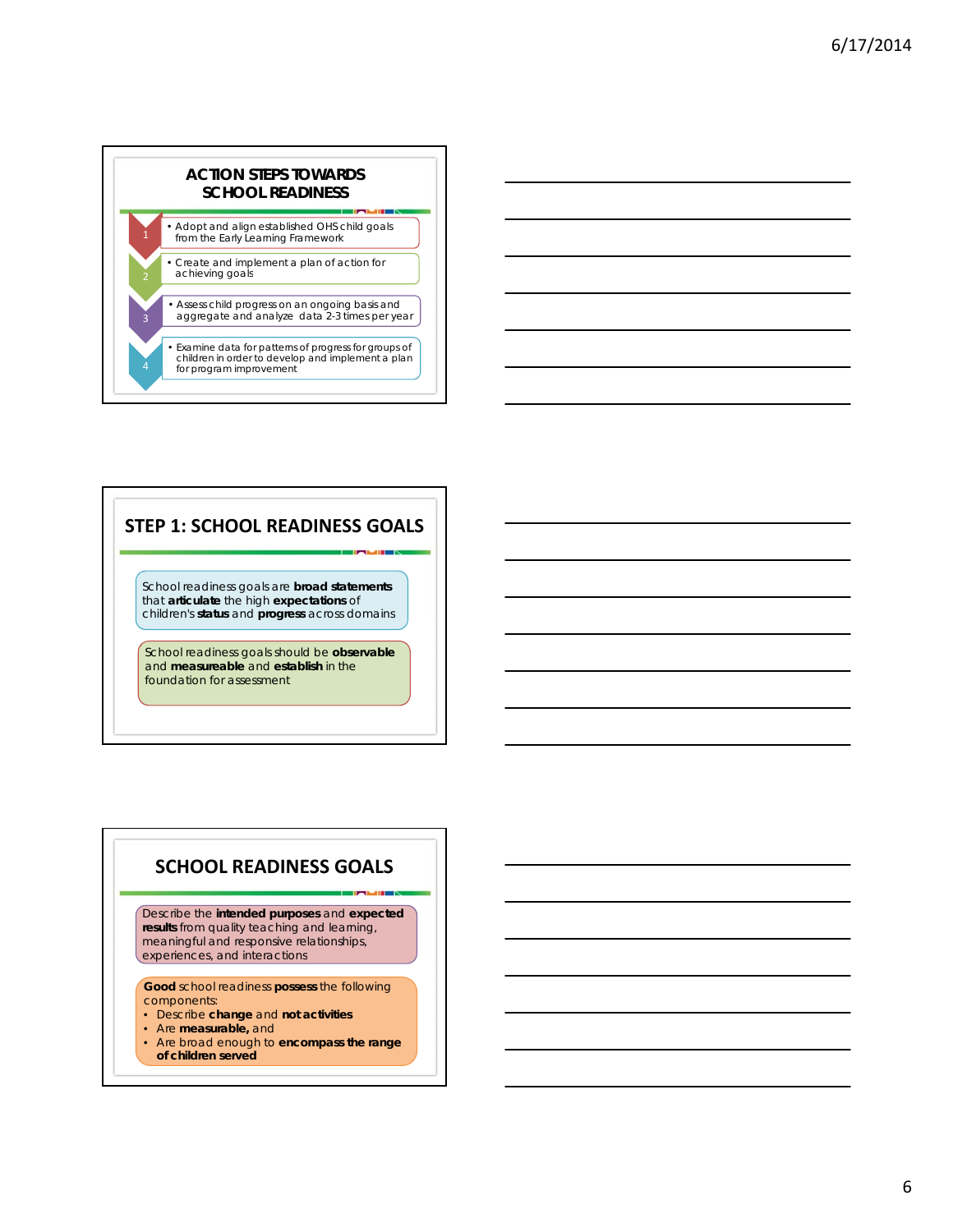

### **STEP 1: SCHOOL READINESS GOALS**

School readiness goals are **broad statements**  that **articulate** the high **expectations** of children's status and **progress** across domains

School readiness goals should be **observable** and **measureable** and **establish** in the foundation for assessment

### **SCHOOL READINESS GOALS**

Describe the **intended purposes** and **expected results** from quality teaching and learning, meaningful and responsive relationships, experiences, and interactions

**Good** school readiness **possess** the following components:

- Describe **change** and **not activities**
- Are **measurable,** and
- Are broad enough to **encompass the range of children served**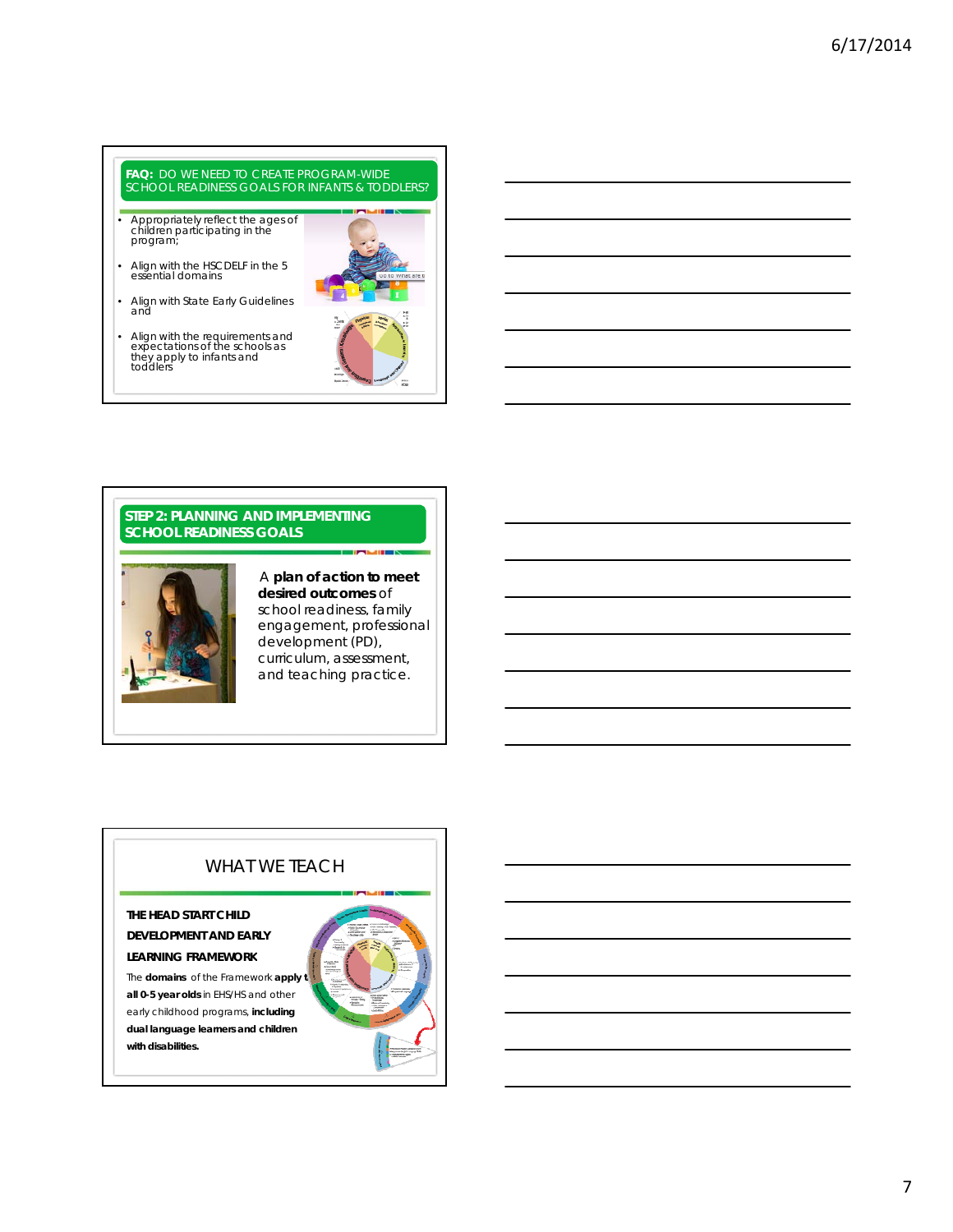# **FAQ:** *DO WE NEED TO CREATE PROGRAM-WIDE SCHOOL READINESS GOALS FOR INFANTS & TODDLERS?*

- Appropriately reflect the ages of children participating in the program;
- Align with the HSCDELF in the 5 essential domains
- Align with State Early Guidelines and
- Align with the requirements and expectations of the schools as they apply to infants and toddlers



#### **STEP 2: PLANNING AND IMPLEMENTING SCHOOL READINESS GOALS**



#### A **plan of action to meet desired outcomes** of school readiness, family engagement, professional development (PD), curriculum, assessment, and teaching practice.

### WHAT WE TEACH

#### **THE HEAD START CHILD DEVELOPMENT AND EARLY**

### **LEARNING FRAMEWORK**

The **domains** of the *Framework* apply to **all 0-5 year olds** in EHS/HS and other early childhood programs, **including dual language learners and children with disabilities.**

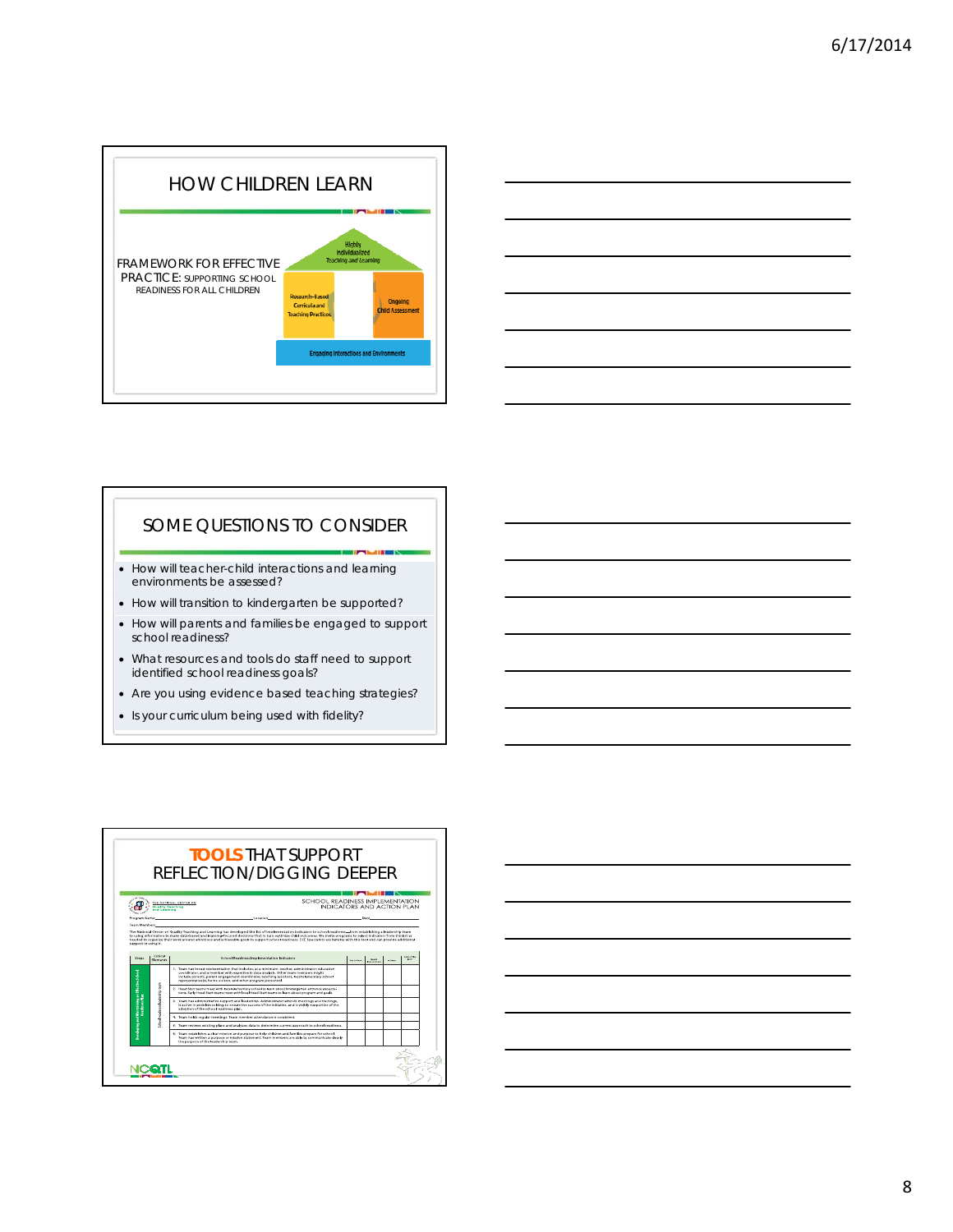



### SOME QUESTIONS TO CONSIDER

- How will teacher-child interactions and learning environments be assessed?
- How will transition to kindergarten be supported?
- How will parents and families be engaged to support school readiness?
- What resources and tools do staff need to support identified school readiness goals?
- Are you using evidence based teaching strategies?
- Is your curriculum being used with fidelity?



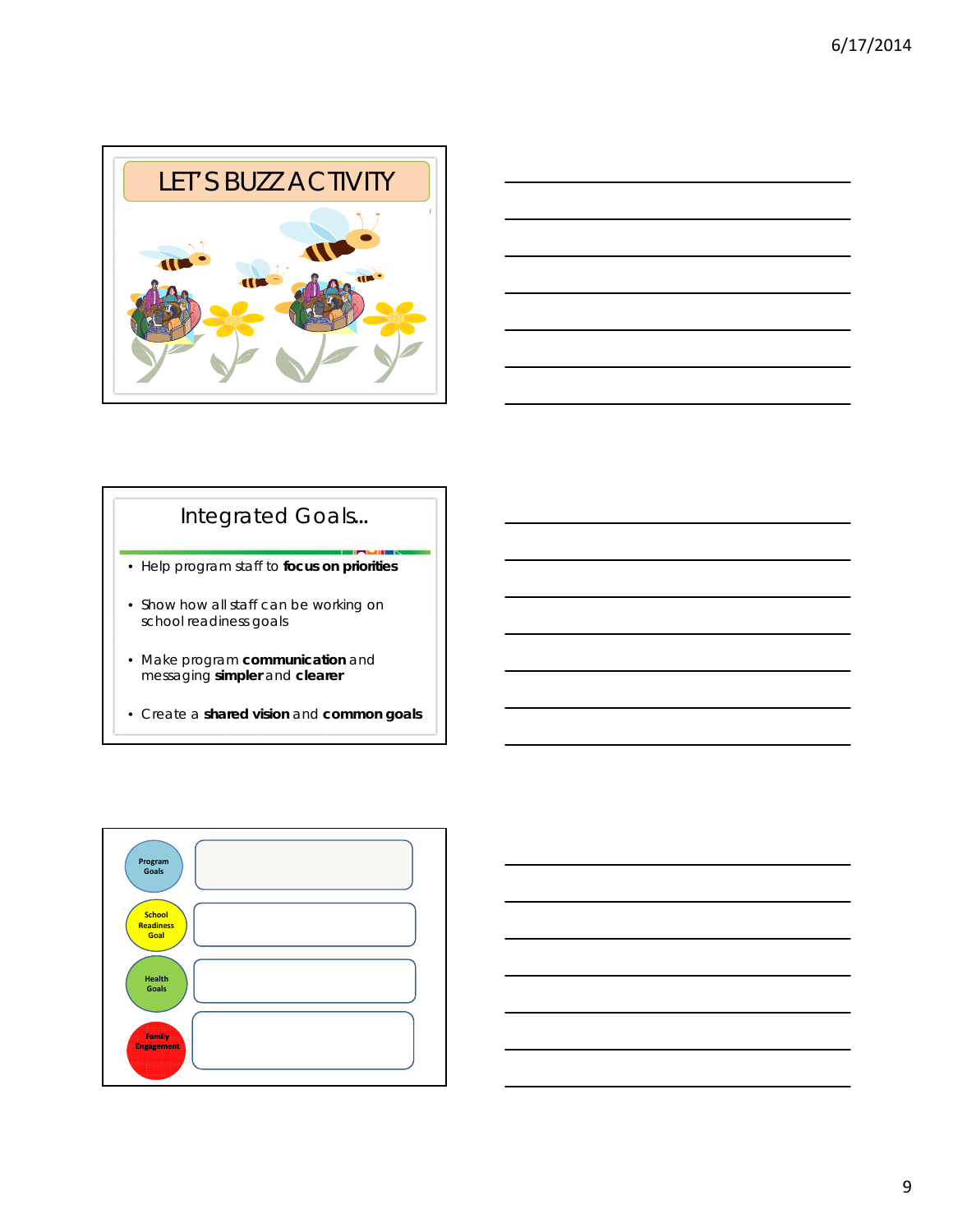



## Integrated Goals**…**

- Help program staff to **focus on priorities**
- Show how all staff can be working on i school readiness goals
- Make program **communication** and messaging **simpler** and **clearer**
- Create a **shared vision** and **common goals**

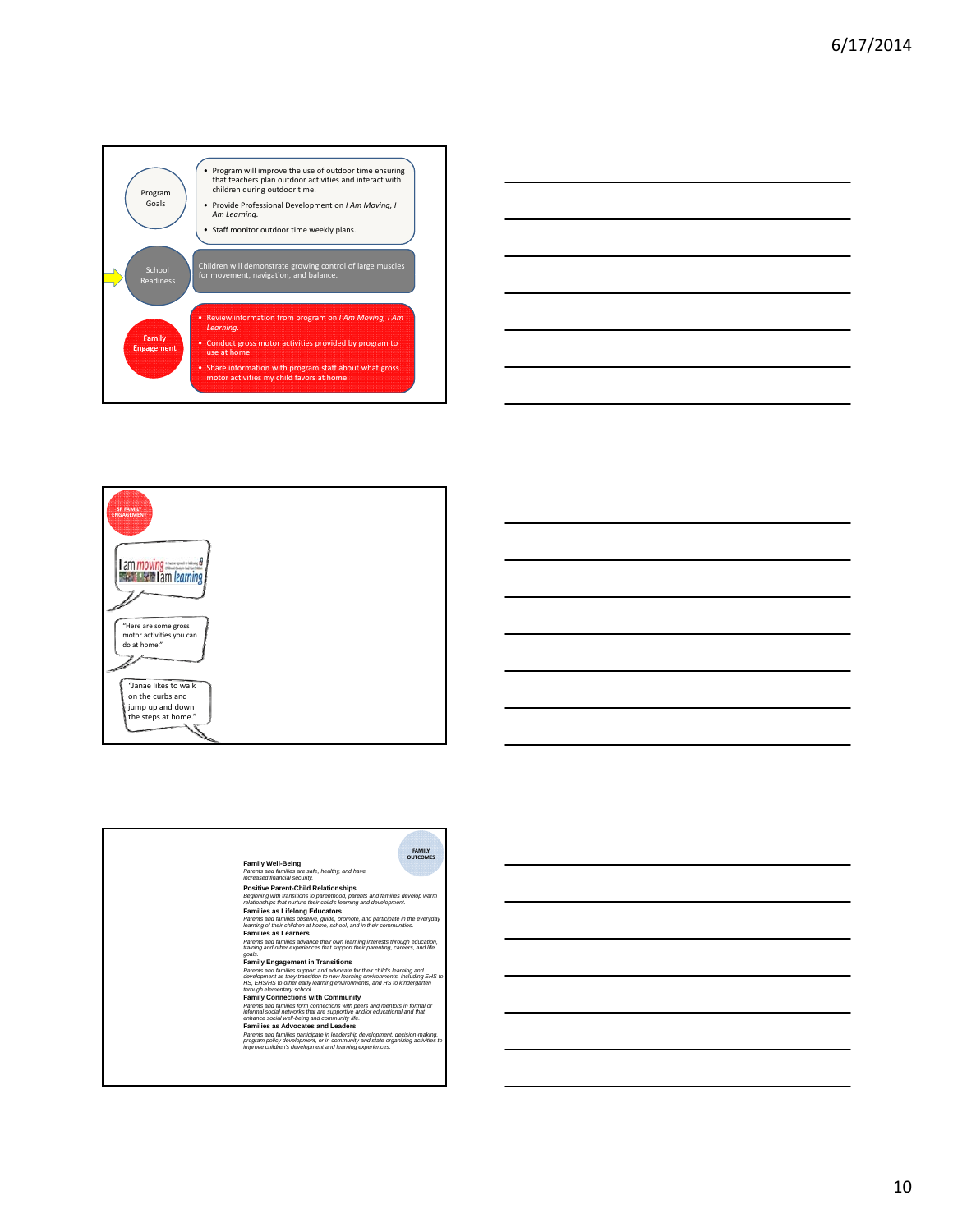





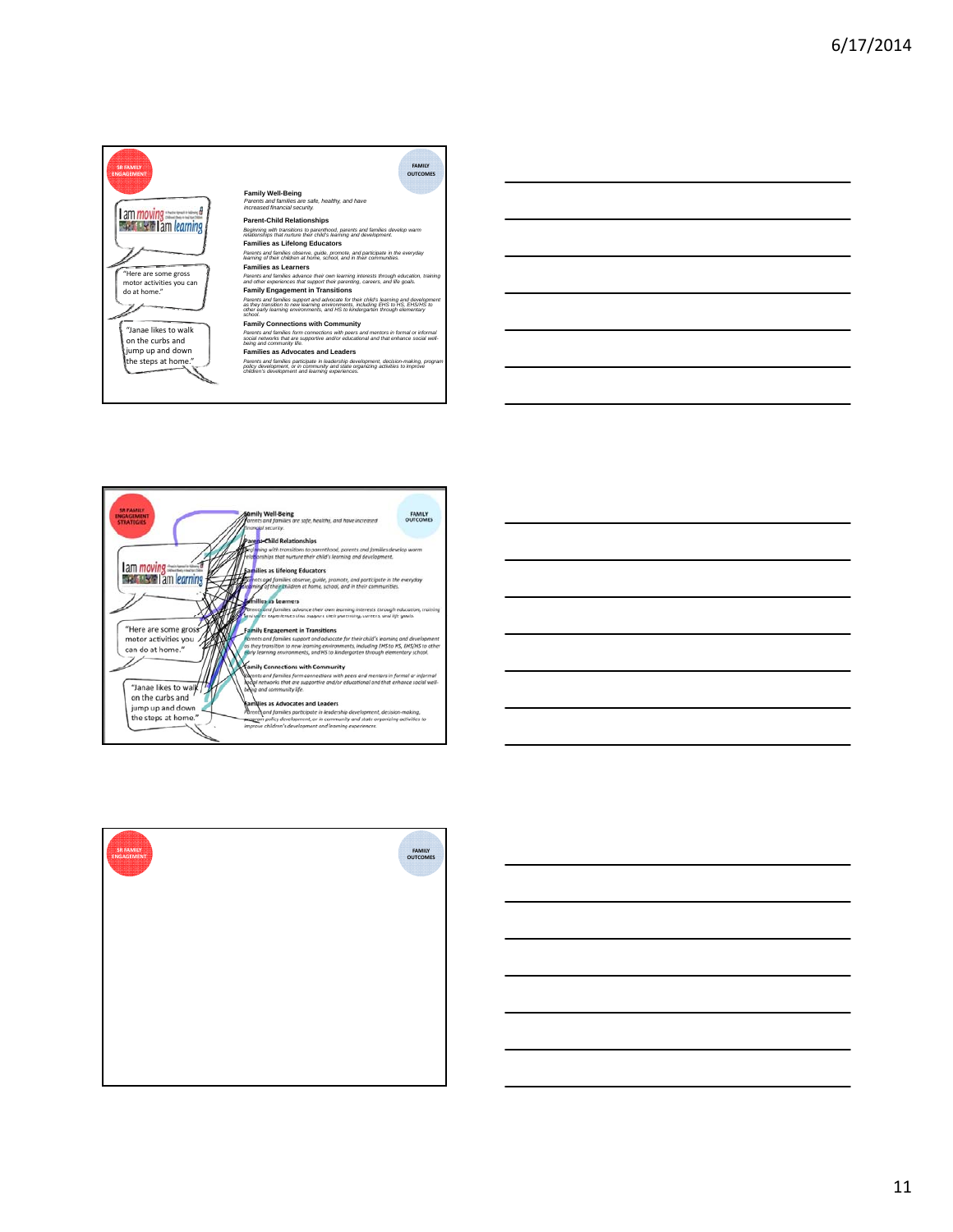



| SR FAMILY<br>ENGAGEMENT | <b>FAMILY</b><br><b>OUTCOMES</b><br><b>10000</b> |
|-------------------------|--------------------------------------------------|
|                         |                                                  |
|                         |                                                  |
|                         |                                                  |
|                         |                                                  |

11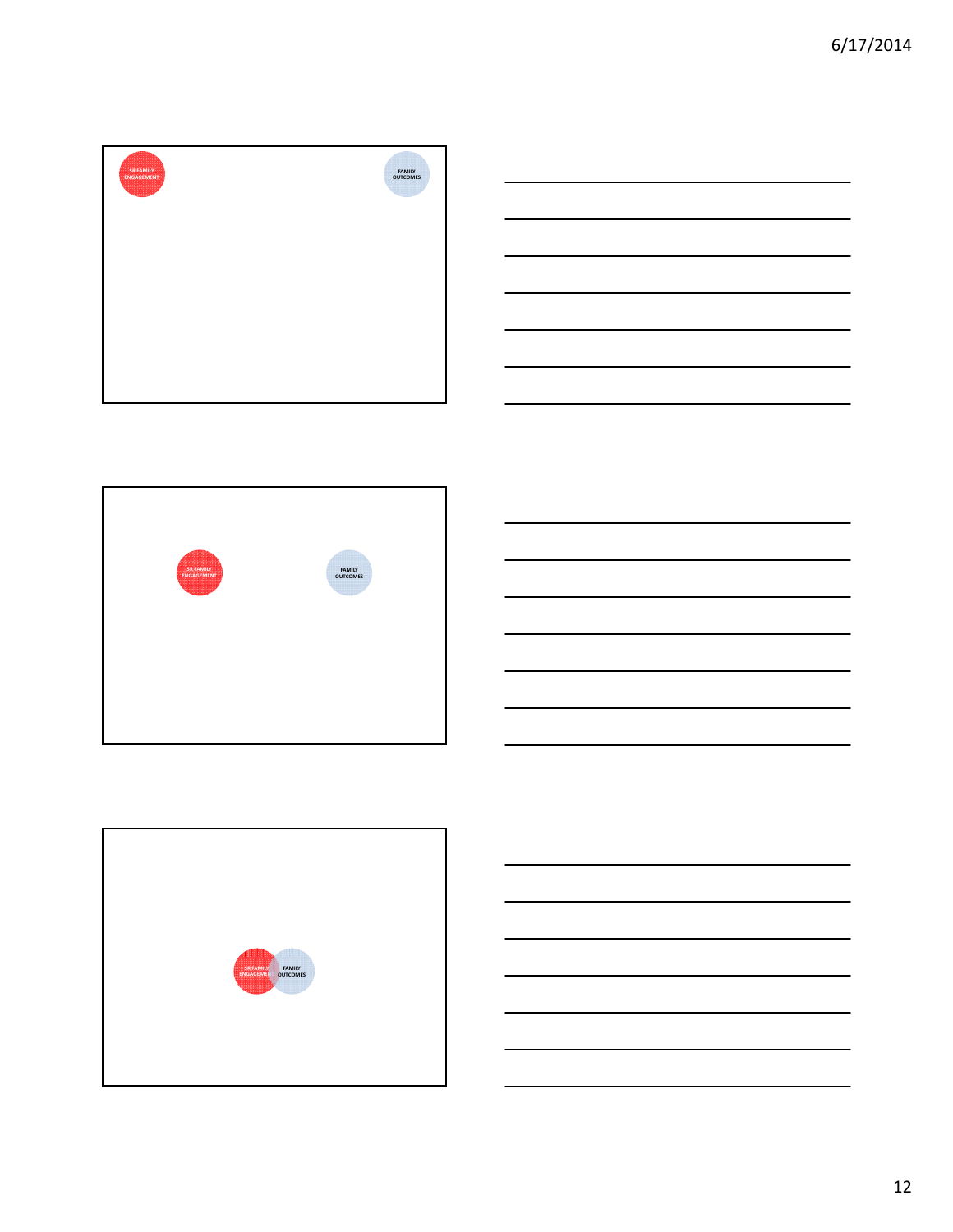





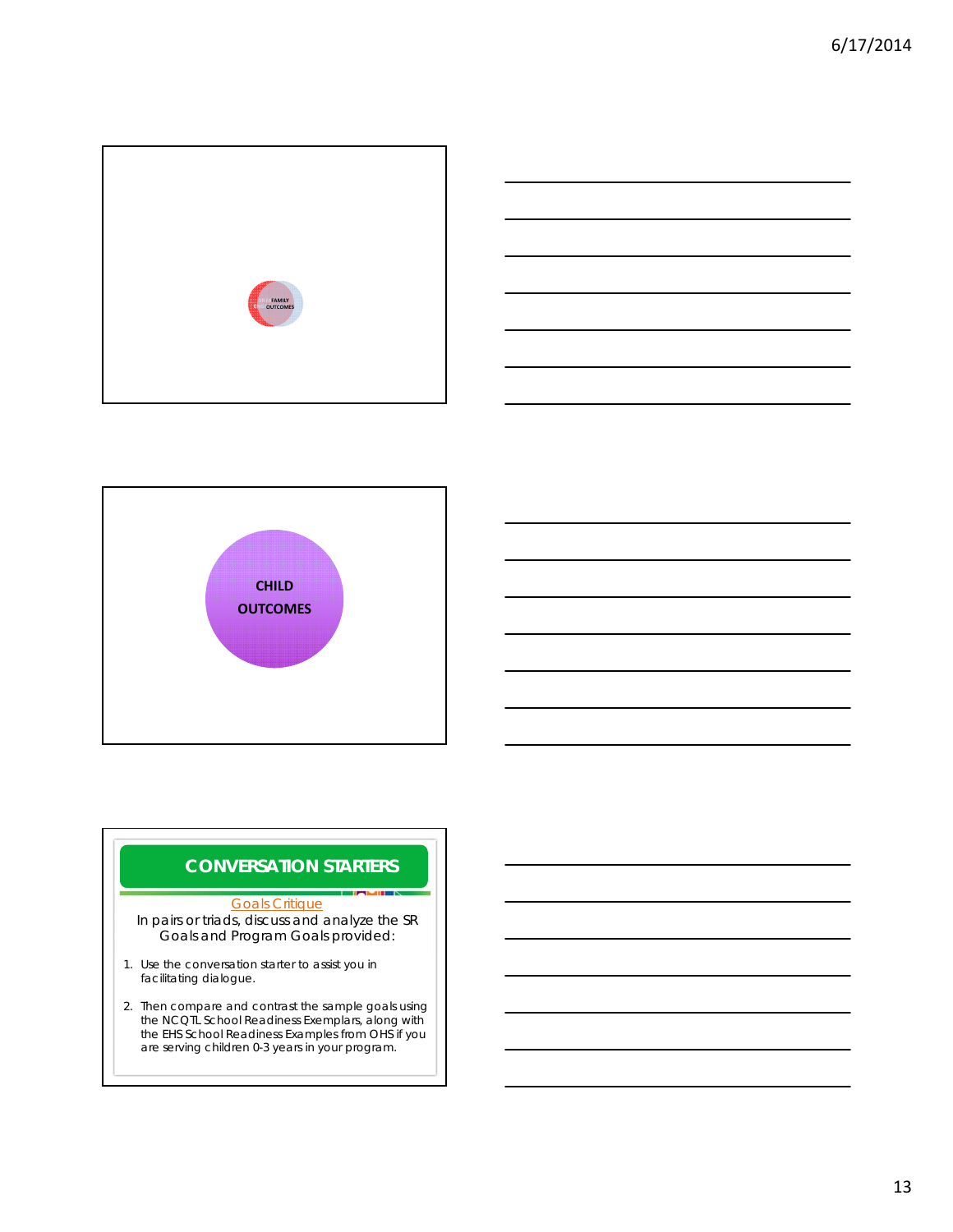





### **CONVERSATION STARTERS**

#### Goals Critique

In pairs or triads, discuss and analyze the SR Goals and Program Goals provided:

- 1. Use the conversation starter to assist you in facilitating dialogue.
- 2. Then compare and contrast the sample goals using the NCQTL School Readiness Exemplars, along with the EHS School Readiness Examples from OHS if you are serving children 0-3 years in your program.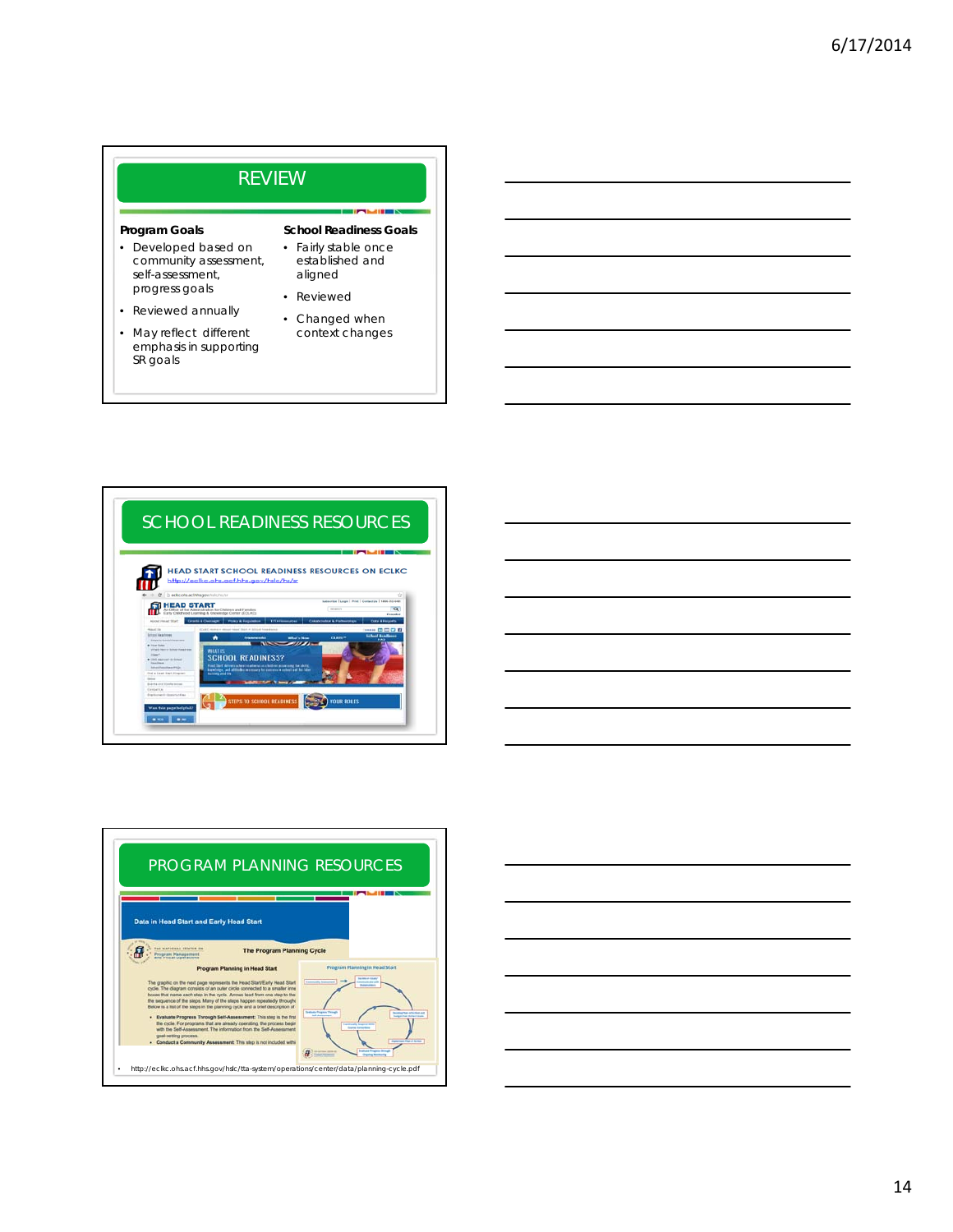#### REVIEW **School Readiness Goals** • Fairly stable once established and aligned **Program Goals** • Developed based on community assessment, self-assessment, • Reviewed • Changed when context changes progress goals • Reviewed annually • May reflect different emphasis in supporting SR goals